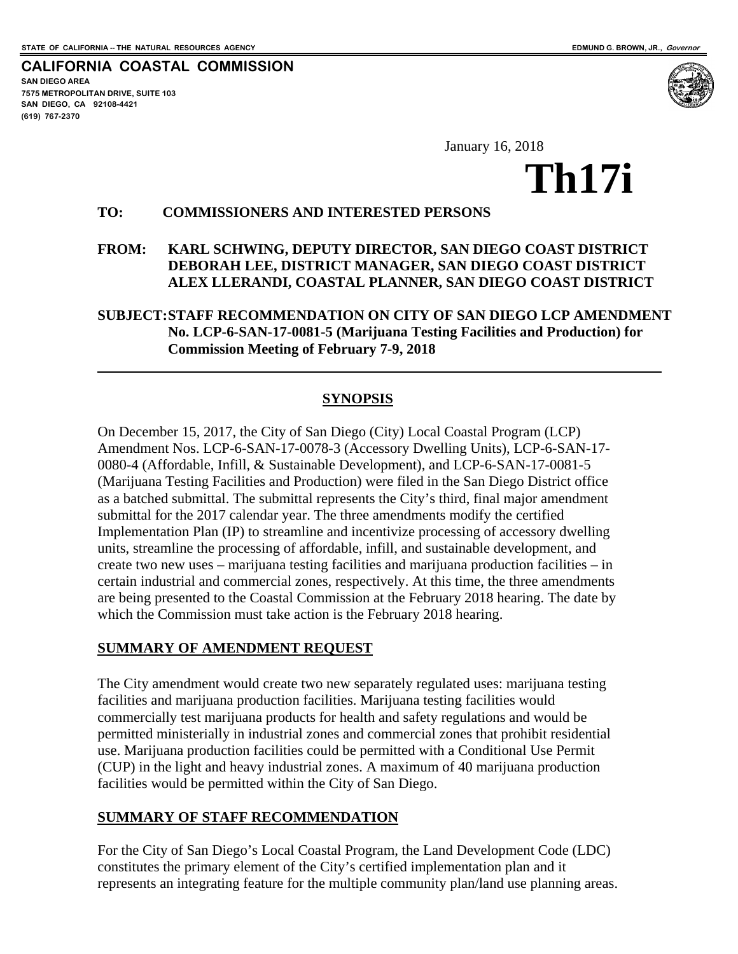**CALIFORNIA COASTAL COMMISSION SAN DIEGO AREA 7575 METROPOLITAN DRIVE, SUITE 103 SAN DIEGO, CA 92108-4421 (619) 767-2370**

 $\overline{a}$ 

# January 16, 2018<br> **Th17i**

## **TO: COMMISSIONERS AND INTERESTED PERSONS**

## **FROM: KARL SCHWING, DEPUTY DIRECTOR, SAN DIEGO COAST DISTRICT DEBORAH LEE, DISTRICT MANAGER, SAN DIEGO COAST DISTRICT ALEX LLERANDI, COASTAL PLANNER, SAN DIEGO COAST DISTRICT**

#### **SUBJECT:STAFF RECOMMENDATION ON CITY OF SAN DIEGO LCP AMENDMENT No. LCP-6-SAN-17-0081-5 (Marijuana Testing Facilities and Production) for Commission Meeting of February 7-9, 2018**

## **SYNOPSIS**

On December 15, 2017, the City of San Diego (City) Local Coastal Program (LCP) Amendment Nos. LCP-6-SAN-17-0078-3 (Accessory Dwelling Units), LCP-6-SAN-17- 0080-4 (Affordable, Infill, & Sustainable Development), and LCP-6-SAN-17-0081-5 (Marijuana Testing Facilities and Production) were filed in the San Diego District office as a batched submittal. The submittal represents the City's third, final major amendment submittal for the 2017 calendar year. The three amendments modify the certified Implementation Plan (IP) to streamline and incentivize processing of accessory dwelling units, streamline the processing of affordable, infill, and sustainable development, and create two new uses – marijuana testing facilities and marijuana production facilities – in certain industrial and commercial zones, respectively. At this time, the three amendments are being presented to the Coastal Commission at the February 2018 hearing. The date by which the Commission must take action is the February 2018 hearing.

#### **SUMMARY OF AMENDMENT REQUEST**

The City amendment would create two new separately regulated uses: marijuana testing facilities and marijuana production facilities. Marijuana testing facilities would commercially test marijuana products for health and safety regulations and would be permitted ministerially in industrial zones and commercial zones that prohibit residential use. Marijuana production facilities could be permitted with a Conditional Use Permit (CUP) in the light and heavy industrial zones. A maximum of 40 marijuana production facilities would be permitted within the City of San Diego.

#### **SUMMARY OF STAFF RECOMMENDATION**

For the City of San Diego's Local Coastal Program, the Land Development Code (LDC) constitutes the primary element of the City's certified implementation plan and it represents an integrating feature for the multiple community plan/land use planning areas.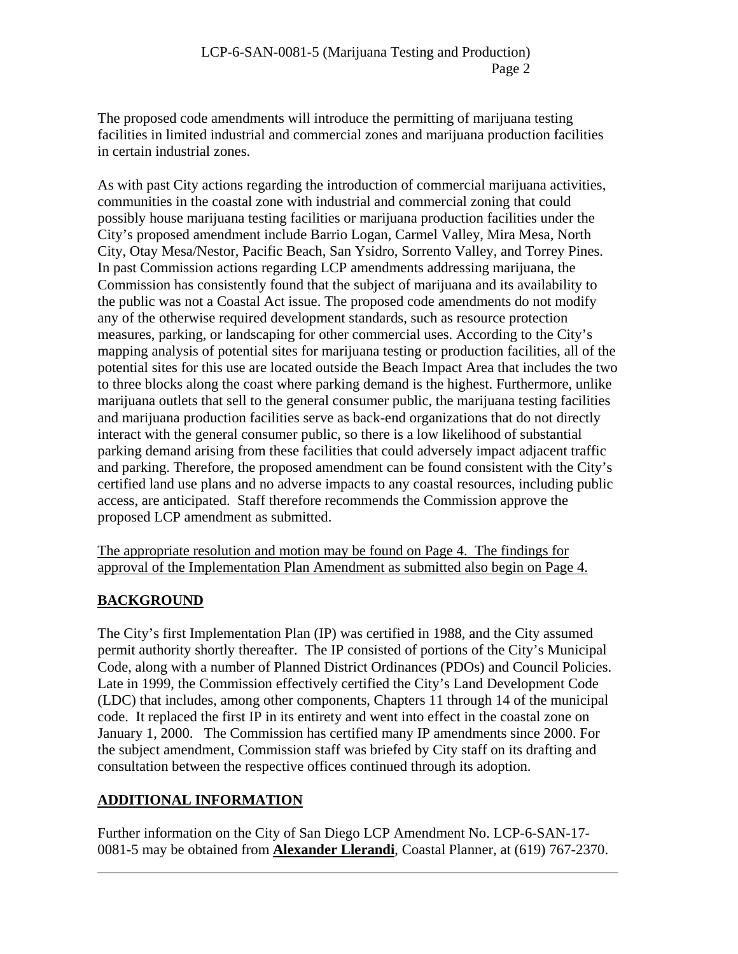The proposed code amendments will introduce the permitting of marijuana testing facilities in limited industrial and commercial zones and marijuana production facilities in certain industrial zones.

As with past City actions regarding the introduction of commercial marijuana activities, communities in the coastal zone with industrial and commercial zoning that could possibly house marijuana testing facilities or marijuana production facilities under the City's proposed amendment include Barrio Logan, Carmel Valley, Mira Mesa, North City, Otay Mesa/Nestor, Pacific Beach, San Ysidro, Sorrento Valley, and Torrey Pines. In past Commission actions regarding LCP amendments addressing marijuana, the Commission has consistently found that the subject of marijuana and its availability to the public was not a Coastal Act issue. The proposed code amendments do not modify any of the otherwise required development standards, such as resource protection measures, parking, or landscaping for other commercial uses. According to the City's mapping analysis of potential sites for marijuana testing or production facilities, all of the potential sites for this use are located outside the Beach Impact Area that includes the two to three blocks along the coast where parking demand is the highest. Furthermore, unlike marijuana outlets that sell to the general consumer public, the marijuana testing facilities and marijuana production facilities serve as back-end organizations that do not directly interact with the general consumer public, so there is a low likelihood of substantial parking demand arising from these facilities that could adversely impact adjacent traffic and parking. Therefore, the proposed amendment can be found consistent with the City's certified land use plans and no adverse impacts to any coastal resources, including public access, are anticipated. Staff therefore recommends the Commission approve the proposed LCP amendment as submitted.

The appropriate resolution and motion may be found on Page 4. The findings for approval of the Implementation Plan Amendment as submitted also begin on Page 4.

# **BACKGROUND**

 $\overline{a}$ 

The City's first Implementation Plan (IP) was certified in 1988, and the City assumed permit authority shortly thereafter. The IP consisted of portions of the City's Municipal Code, along with a number of Planned District Ordinances (PDOs) and Council Policies. Late in 1999, the Commission effectively certified the City's Land Development Code (LDC) that includes, among other components, Chapters 11 through 14 of the municipal code. It replaced the first IP in its entirety and went into effect in the coastal zone on January 1, 2000. The Commission has certified many IP amendments since 2000. For the subject amendment, Commission staff was briefed by City staff on its drafting and consultation between the respective offices continued through its adoption.

# **ADDITIONAL INFORMATION**

Further information on the City of San Diego LCP Amendment No. LCP-6-SAN-17- 0081-5 may be obtained from **Alexander Llerandi**, Coastal Planner, at (619) 767-2370.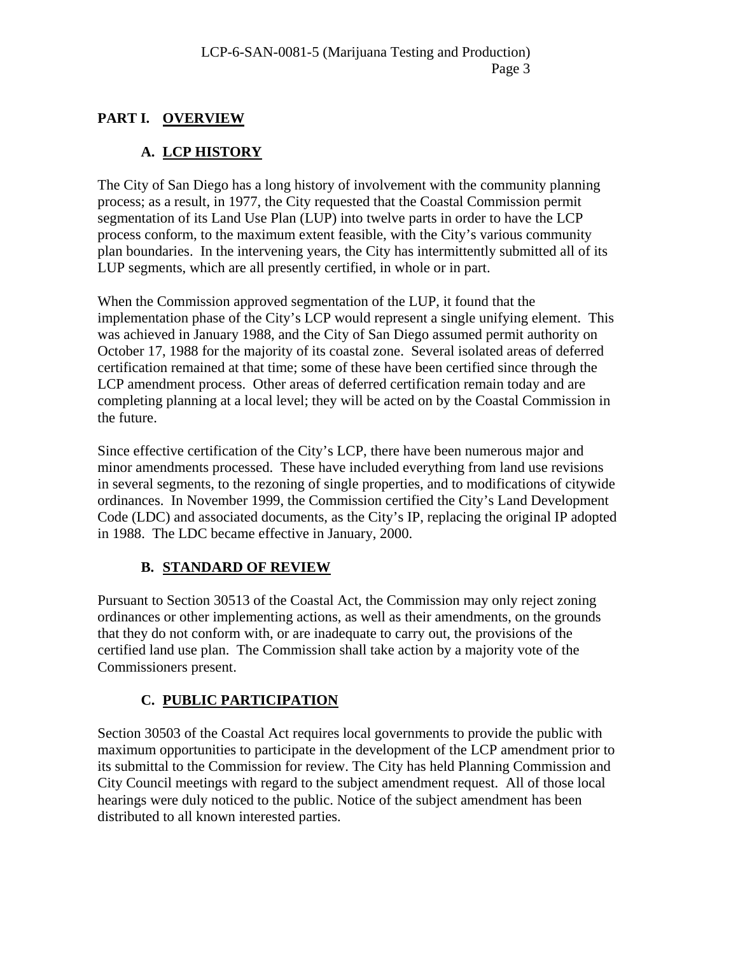# **PART I. OVERVIEW**

# **A. LCP HISTORY**

The City of San Diego has a long history of involvement with the community planning process; as a result, in 1977, the City requested that the Coastal Commission permit segmentation of its Land Use Plan (LUP) into twelve parts in order to have the LCP process conform, to the maximum extent feasible, with the City's various community plan boundaries. In the intervening years, the City has intermittently submitted all of its LUP segments, which are all presently certified, in whole or in part.

When the Commission approved segmentation of the LUP, it found that the implementation phase of the City's LCP would represent a single unifying element. This was achieved in January 1988, and the City of San Diego assumed permit authority on October 17, 1988 for the majority of its coastal zone. Several isolated areas of deferred certification remained at that time; some of these have been certified since through the LCP amendment process. Other areas of deferred certification remain today and are completing planning at a local level; they will be acted on by the Coastal Commission in the future.

Since effective certification of the City's LCP, there have been numerous major and minor amendments processed. These have included everything from land use revisions in several segments, to the rezoning of single properties, and to modifications of citywide ordinances. In November 1999, the Commission certified the City's Land Development Code (LDC) and associated documents, as the City's IP, replacing the original IP adopted in 1988. The LDC became effective in January, 2000.

# **B. STANDARD OF REVIEW**

Pursuant to Section 30513 of the Coastal Act, the Commission may only reject zoning ordinances or other implementing actions, as well as their amendments, on the grounds that they do not conform with, or are inadequate to carry out, the provisions of the certified land use plan. The Commission shall take action by a majority vote of the Commissioners present.

# **C. PUBLIC PARTICIPATION**

Section 30503 of the Coastal Act requires local governments to provide the public with maximum opportunities to participate in the development of the LCP amendment prior to its submittal to the Commission for review. The City has held Planning Commission and City Council meetings with regard to the subject amendment request. All of those local hearings were duly noticed to the public. Notice of the subject amendment has been distributed to all known interested parties.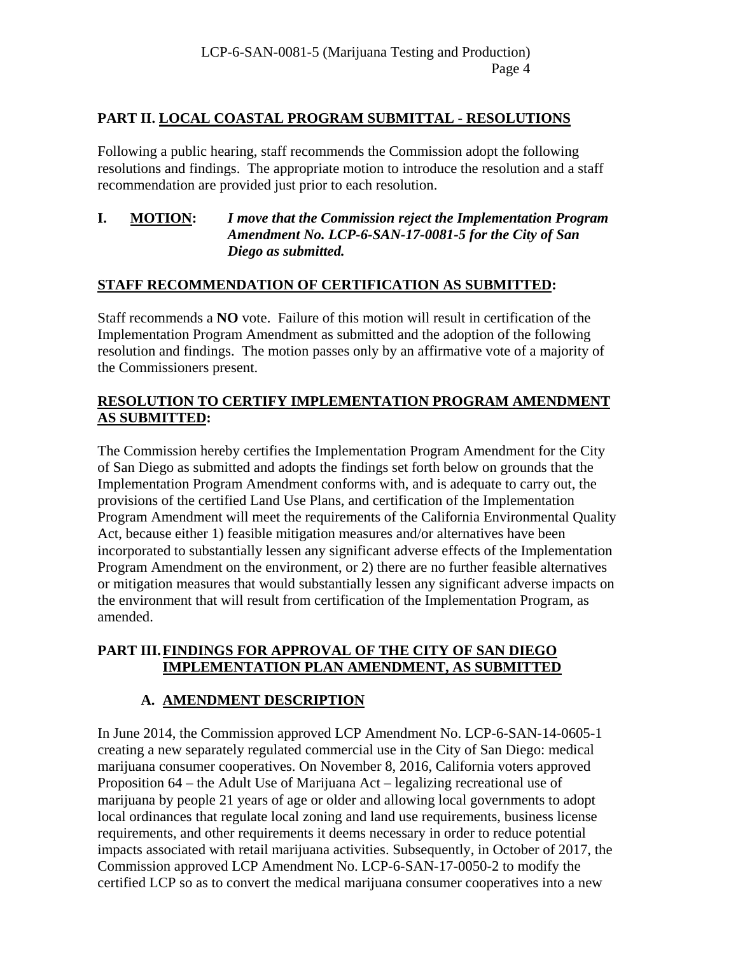# **PART II. LOCAL COASTAL PROGRAM SUBMITTAL - RESOLUTIONS**

Following a public hearing, staff recommends the Commission adopt the following resolutions and findings. The appropriate motion to introduce the resolution and a staff recommendation are provided just prior to each resolution.

## **I. MOTION:** *I move that the Commission reject the Implementation Program Amendment No. LCP-6-SAN-17-0081-5 for the City of San Diego as submitted.*

## **STAFF RECOMMENDATION OF CERTIFICATION AS SUBMITTED:**

Staff recommends a **NO** vote. Failure of this motion will result in certification of the Implementation Program Amendment as submitted and the adoption of the following resolution and findings. The motion passes only by an affirmative vote of a majority of the Commissioners present.

## **RESOLUTION TO CERTIFY IMPLEMENTATION PROGRAM AMENDMENT AS SUBMITTED:**

The Commission hereby certifies the Implementation Program Amendment for the City of San Diego as submitted and adopts the findings set forth below on grounds that the Implementation Program Amendment conforms with, and is adequate to carry out, the provisions of the certified Land Use Plans, and certification of the Implementation Program Amendment will meet the requirements of the California Environmental Quality Act, because either 1) feasible mitigation measures and/or alternatives have been incorporated to substantially lessen any significant adverse effects of the Implementation Program Amendment on the environment, or 2) there are no further feasible alternatives or mitigation measures that would substantially lessen any significant adverse impacts on the environment that will result from certification of the Implementation Program, as amended.

## **PART III.FINDINGS FOR APPROVAL OF THE CITY OF SAN DIEGO IMPLEMENTATION PLAN AMENDMENT, AS SUBMITTED**

# **A. AMENDMENT DESCRIPTION**

In June 2014, the Commission approved LCP Amendment No. LCP-6-SAN-14-0605-1 creating a new separately regulated commercial use in the City of San Diego: medical marijuana consumer cooperatives. On November 8, 2016, California voters approved Proposition 64 – the Adult Use of Marijuana Act – legalizing recreational use of marijuana by people 21 years of age or older and allowing local governments to adopt local ordinances that regulate local zoning and land use requirements, business license requirements, and other requirements it deems necessary in order to reduce potential impacts associated with retail marijuana activities. Subsequently, in October of 2017, the Commission approved LCP Amendment No. LCP-6-SAN-17-0050-2 to modify the certified LCP so as to convert the medical marijuana consumer cooperatives into a new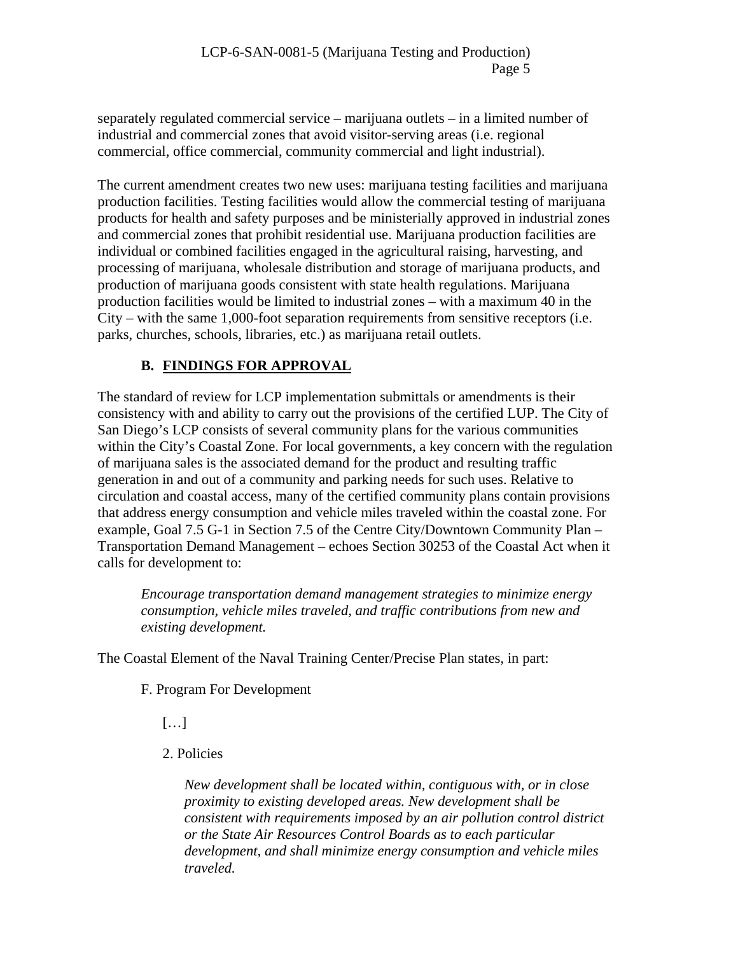separately regulated commercial service – marijuana outlets – in a limited number of industrial and commercial zones that avoid visitor-serving areas (i.e. regional commercial, office commercial, community commercial and light industrial).

The current amendment creates two new uses: marijuana testing facilities and marijuana production facilities. Testing facilities would allow the commercial testing of marijuana products for health and safety purposes and be ministerially approved in industrial zones and commercial zones that prohibit residential use. Marijuana production facilities are individual or combined facilities engaged in the agricultural raising, harvesting, and processing of marijuana, wholesale distribution and storage of marijuana products, and production of marijuana goods consistent with state health regulations. Marijuana production facilities would be limited to industrial zones – with a maximum 40 in the City – with the same 1,000-foot separation requirements from sensitive receptors (i.e. parks, churches, schools, libraries, etc.) as marijuana retail outlets.

# **B. FINDINGS FOR APPROVAL**

The standard of review for LCP implementation submittals or amendments is their consistency with and ability to carry out the provisions of the certified LUP. The City of San Diego's LCP consists of several community plans for the various communities within the City's Coastal Zone. For local governments, a key concern with the regulation of marijuana sales is the associated demand for the product and resulting traffic generation in and out of a community and parking needs for such uses. Relative to circulation and coastal access, many of the certified community plans contain provisions that address energy consumption and vehicle miles traveled within the coastal zone. For example, Goal 7.5 G-1 in Section 7.5 of the Centre City/Downtown Community Plan – Transportation Demand Management – echoes Section 30253 of the Coastal Act when it calls for development to:

*Encourage transportation demand management strategies to minimize energy consumption, vehicle miles traveled, and traffic contributions from new and existing development.* 

The Coastal Element of the Naval Training Center/Precise Plan states, in part:

F. Program For Development

 $[\ldots]$ 

2. Policies

*New development shall be located within, contiguous with, or in close proximity to existing developed areas. New development shall be consistent with requirements imposed by an air pollution control district or the State Air Resources Control Boards as to each particular development, and shall minimize energy consumption and vehicle miles traveled.*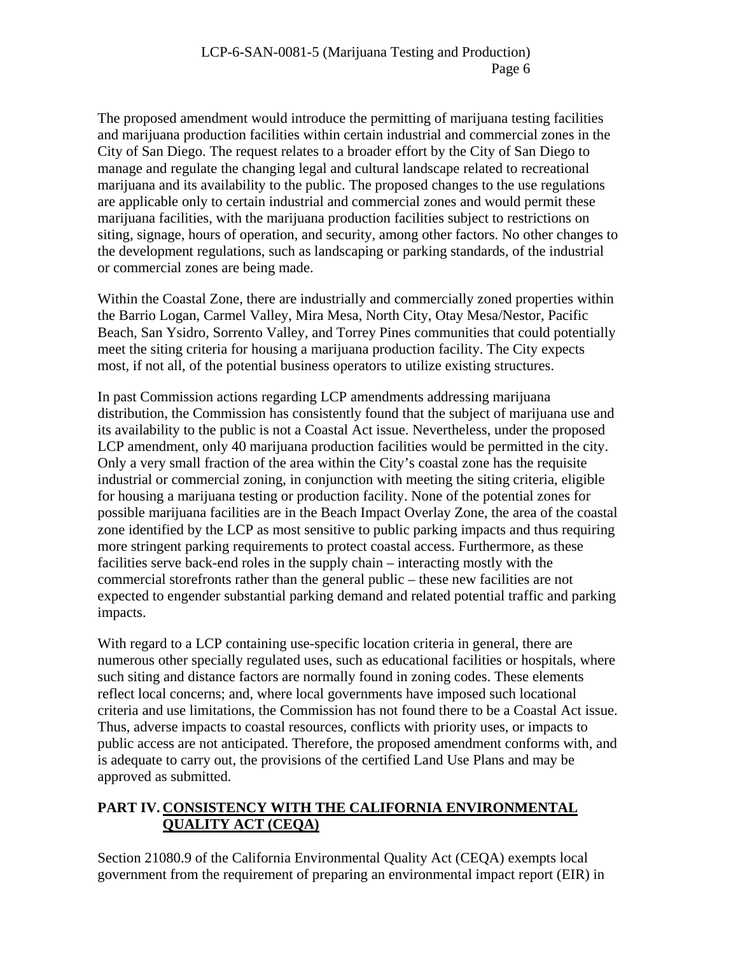The proposed amendment would introduce the permitting of marijuana testing facilities and marijuana production facilities within certain industrial and commercial zones in the City of San Diego. The request relates to a broader effort by the City of San Diego to manage and regulate the changing legal and cultural landscape related to recreational marijuana and its availability to the public. The proposed changes to the use regulations are applicable only to certain industrial and commercial zones and would permit these marijuana facilities, with the marijuana production facilities subject to restrictions on siting, signage, hours of operation, and security, among other factors. No other changes to the development regulations, such as landscaping or parking standards, of the industrial or commercial zones are being made.

Within the Coastal Zone, there are industrially and commercially zoned properties within the Barrio Logan, Carmel Valley, Mira Mesa, North City, Otay Mesa/Nestor, Pacific Beach, San Ysidro, Sorrento Valley, and Torrey Pines communities that could potentially meet the siting criteria for housing a marijuana production facility. The City expects most, if not all, of the potential business operators to utilize existing structures.

In past Commission actions regarding LCP amendments addressing marijuana distribution, the Commission has consistently found that the subject of marijuana use and its availability to the public is not a Coastal Act issue. Nevertheless, under the proposed LCP amendment, only 40 marijuana production facilities would be permitted in the city. Only a very small fraction of the area within the City's coastal zone has the requisite industrial or commercial zoning, in conjunction with meeting the siting criteria, eligible for housing a marijuana testing or production facility. None of the potential zones for possible marijuana facilities are in the Beach Impact Overlay Zone, the area of the coastal zone identified by the LCP as most sensitive to public parking impacts and thus requiring more stringent parking requirements to protect coastal access. Furthermore, as these facilities serve back-end roles in the supply chain – interacting mostly with the commercial storefronts rather than the general public – these new facilities are not expected to engender substantial parking demand and related potential traffic and parking impacts.

With regard to a LCP containing use-specific location criteria in general, there are numerous other specially regulated uses, such as educational facilities or hospitals, where such siting and distance factors are normally found in zoning codes. These elements reflect local concerns; and, where local governments have imposed such locational criteria and use limitations, the Commission has not found there to be a Coastal Act issue. Thus, adverse impacts to coastal resources, conflicts with priority uses, or impacts to public access are not anticipated. Therefore, the proposed amendment conforms with, and is adequate to carry out, the provisions of the certified Land Use Plans and may be approved as submitted.

# **PART IV. CONSISTENCY WITH THE CALIFORNIA ENVIRONMENTAL QUALITY ACT (CEQA)**

Section 21080.9 of the California Environmental Quality Act (CEQA) exempts local government from the requirement of preparing an environmental impact report (EIR) in